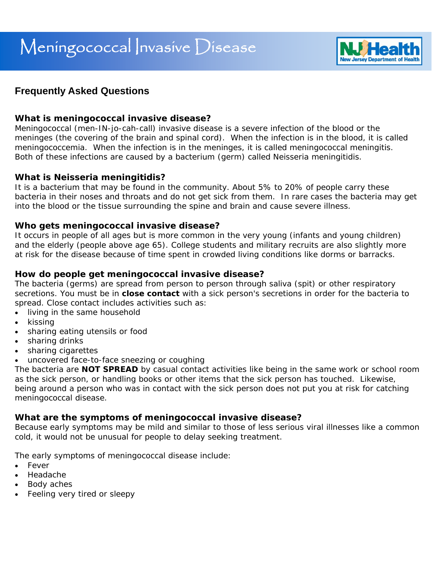

# **Frequently Asked Questions**

## **What is meningococcal invasive disease?**

Meningococcal (men-IN-jo-cah-call) invasive disease is a severe infection of the blood or the meninges (the covering of the brain and spinal cord). When the infection is in the blood, it is called meningococcemia. When the infection is in the meninges, it is called meningococcal meningitis. Both of these infections are caused by a bacterium (germ) called *Neisseria meningitidis.* 

#### **What is** *Neisseria meningitidis***?**

It is a bacterium that may be found in the community. About 5% to 20% of people carry these bacteria in their noses and throats and do not get sick from them. In rare cases the bacteria may get into the blood or the tissue surrounding the spine and brain and cause severe illness.

## **Who gets meningococcal invasive disease?**

It occurs in people of all ages but is more common in the very young (infants and young children) and the elderly (people above age 65). College students and military recruits are also slightly more at risk for the disease because of time spent in crowded living conditions like dorms or barracks.

## **How do people get meningococcal invasive disease?**

The bacteria (germs) are spread from person to person through saliva (spit) or other respiratory secretions. You must be in **close contact** with a sick person's secretions in order for the bacteria to spread. Close contact includes activities such as:

- living in the same household
- kissing
- sharing eating utensils or food
- sharing drinks
- sharing cigarettes
- uncovered face-to-face sneezing or coughing

The bacteria are **NOT SPREAD** by casual contact activities like being in the same work or school room as the sick person, or handling books or other items that the sick person has touched. Likewise, being around a person who was in contact with the sick person does not put you at risk for catching meningococcal disease.

# **What are the symptoms of meningococcal invasive disease?**

Because early symptoms may be mild and similar to those of less serious viral illnesses like a common cold, it would not be unusual for people to delay seeking treatment.

The early symptoms of meningococcal disease include:

- **Fever**
- Headache
- Body aches
- Feeling very tired or sleepy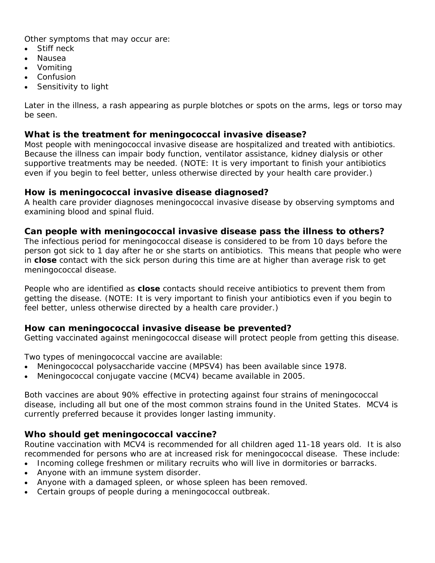Other symptoms that may occur are:

- Stiff neck
- Nausea
- Vomiting
- Confusion
- Sensitivity to light

Later in the illness, a rash appearing as purple blotches or spots on the arms, legs or torso may be seen.

#### **What is the treatment for meningococcal invasive disease?**

Most people with meningococcal invasive disease are hospitalized and treated with antibiotics. Because the illness can impair body function, ventilator assistance, kidney dialysis or other supportive treatments may be needed. (NOTE: It is very important to finish your antibiotics even if you begin to feel better, unless otherwise directed by your health care provider.)

## **How is meningococcal invasive disease diagnosed?**

A health care provider diagnoses meningococcal invasive disease by observing symptoms and examining blood and spinal fluid.

## **Can people with meningococcal invasive disease pass the illness to others?**

The infectious period for meningococcal disease is considered to be from 10 days before the person got sick to 1 day after he or she starts on antibiotics. This means that people who were in **close** contact with the sick person during this time are at higher than average risk to get meningococcal disease.

People who are identified as **close** contacts should receive antibiotics to prevent them from getting the disease. (NOTE: It is very important to finish your antibiotics even if you begin to feel better, unless otherwise directed by a health care provider.)

# **How can meningococcal invasive disease be prevented?**

Getting vaccinated against meningococcal disease will protect people from getting this disease.

Two types of meningococcal vaccine are available:

- Meningococcal polysaccharide vaccine (MPSV4) has been available since 1978.
- Meningococcal conjugate vaccine (MCV4) became available in 2005.

Both vaccines are about 90% effective in protecting against four strains of meningococcal disease, including all but one of the most common strains found in the United States. MCV4 is currently preferred because it provides longer lasting immunity.

#### **Who should get meningococcal vaccine?**

Routine vaccination with MCV4 is recommended for all children aged 11-18 years old. It is also recommended for persons who are at increased risk for meningococcal disease. These include:

- Incoming college freshmen or military recruits who will live in dormitories or barracks.
- Anyone with an immune system disorder.
- Anyone with a damaged spleen, or whose spleen has been removed.
- Certain groups of people during a meningococcal outbreak.